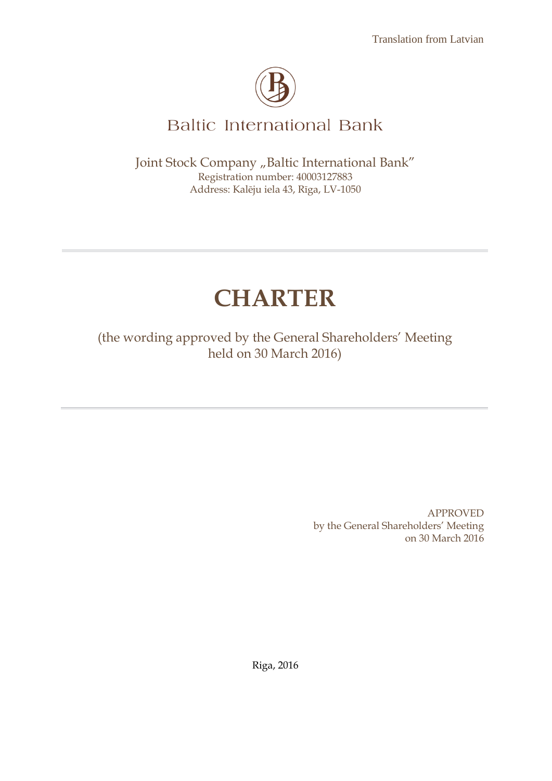

# **Baltic International Bank**

Joint Stock Company "Baltic International Bank" Registration number: 40003127883 Address: Kalēju iela 43, Rīga, LV-1050

# **CHARTER**

(the wording approved by the General Shareholders' Meeting held on 30 March 2016)

> APPROVED by the General Shareholders' Meeting on 30 March 2016

Riga, 2016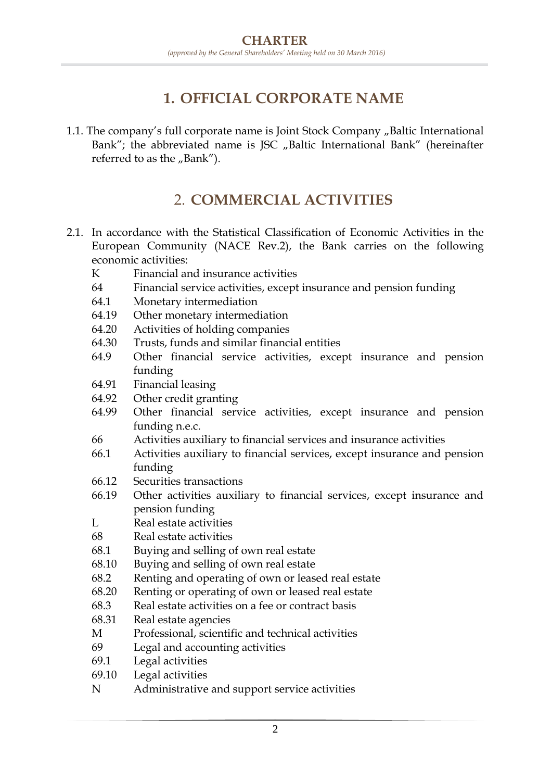## **1. OFFICIAL CORPORATE NAME**

1.1. The company's full corporate name is Joint Stock Company "Baltic International Bank"; the abbreviated name is JSC "Baltic International Bank" (hereinafter referred to as the "Bank").

### 2. **COMMERCIAL ACTIVITIES**

- 2.1. In accordance with the Statistical Classification of Economic Activities in the European Community (NACE Rev.2), the Bank carries on the following economic activities:
	- K Financial and insurance activities
	- 64 Financial service activities, except insurance and pension funding
	- 64.1 Monetary intermediation
	- 64.19 Other monetary intermediation
	- 64.20 Activities of holding companies
	- 64.30 Trusts, funds and similar financial entities
	- 64.9 Other financial service activities, except insurance and pension funding
	- 64.91 Financial leasing
	- 64.92 Other credit granting
	- 64.99 Other financial service activities, except insurance and pension funding n.e.c.
	- 66 Activities auxiliary to financial services and insurance activities
	- 66.1 Activities auxiliary to financial services, except insurance and pension funding
	- 66.12 Securities transactions
	- 66.19 Other activities auxiliary to financial services, except insurance and pension funding
	- L Real estate activities
	- 68 Real estate activities
	- 68.1 Buying and selling of own real estate
	- 68.10 Buying and selling of own real estate
	- 68.2 Renting and operating of own or leased real estate
	- 68.20 Renting or operating of own or leased real estate
	- 68.3 Real estate activities on a fee or contract basis
	- 68.31 Real estate agencies
	- M Professional, scientific and technical activities
	- 69 Legal and accounting activities
	- 69.1 Legal activities
	- 69.10 Legal activities
	- N Administrative and support service activities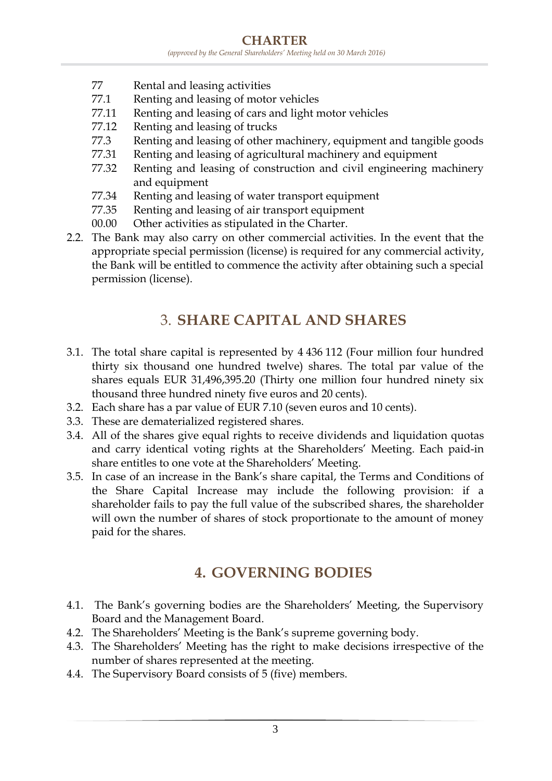- 77 Rental and leasing activities
- 77.1 Renting and leasing of motor vehicles
- 77.11 Renting and leasing of cars and light motor vehicles
- 77.12 Renting and leasing of trucks
- 77.3 Renting and leasing of other machinery, equipment and tangible goods
- 77.31 Renting and leasing of agricultural machinery and equipment
- 77.32 Renting and leasing of construction and civil engineering machinery and equipment
- 77.34 Renting and leasing of water transport equipment
- 77.35 Renting and leasing of air transport equipment
- 00.00 Other activities as stipulated in the Charter.
- 2.2. The Bank may also carry on other commercial activities. In the event that the appropriate special permission (license) is required for any commercial activity, the Bank will be entitled to commence the activity after obtaining such a special permission (license).

#### 3. **SHARE CAPITAL AND SHARES**

- 3.1. The total share capital is represented by 4 436 112 (Four million four hundred thirty six thousand one hundred twelve) shares. The total par value of the shares equals EUR 31,496,395.20 (Thirty one million four hundred ninety six thousand three hundred ninety five euros and 20 cents).
- 3.2. Each share has a par value of EUR 7.10 (seven euros and 10 cents).
- 3.3. These are dematerialized registered shares.
- 3.4. All of the shares give equal rights to receive dividends and liquidation quotas and carry identical voting rights at the Shareholders' Meeting. Each paid-in share entitles to one vote at the Shareholders' Meeting.
- 3.5. In case of an increase in the Bank's share capital, the Terms and Conditions of the Share Capital Increase may include the following provision: if a shareholder fails to pay the full value of the subscribed shares, the shareholder will own the number of shares of stock proportionate to the amount of money paid for the shares.

#### **4. GOVERNING BODIES**

- 4.1. The Bank's governing bodies are the Shareholders' Meeting, the Supervisory Board and the Management Board.
- 4.2. The Shareholders' Meeting is the Bank's supreme governing body.
- 4.3. The Shareholders' Meeting has the right to make decisions irrespective of the number of shares represented at the meeting.
- 4.4. The Supervisory Board consists of 5 (five) members.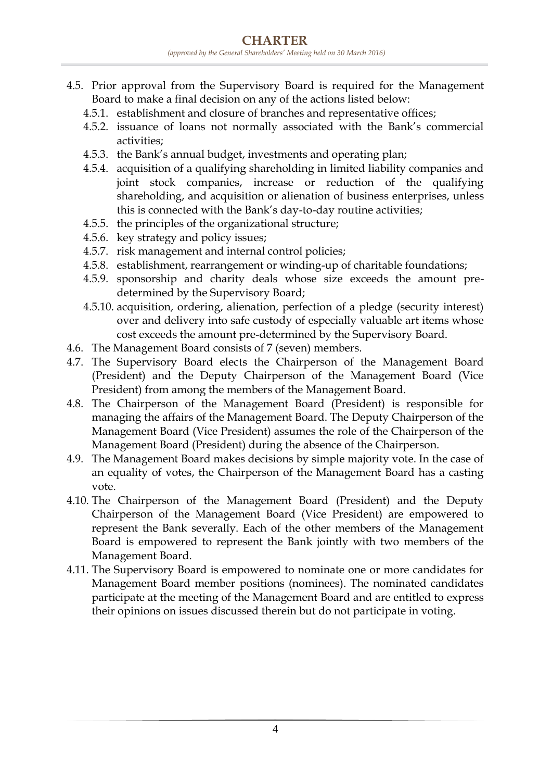- 4.5. Prior approval from the Supervisory Board is required for the Management Board to make a final decision on any of the actions listed below:
	- 4.5.1. establishment and closure of branches and representative offices;
	- 4.5.2. issuance of loans not normally associated with the Bank's commercial activities;
	- 4.5.3. the Bank's annual budget, investments and operating plan;
	- 4.5.4. acquisition of a qualifying shareholding in limited liability companies and joint stock companies, increase or reduction of the qualifying shareholding, and acquisition or alienation of business enterprises, unless this is connected with the Bank's day-to-day routine activities;
	- 4.5.5. the principles of the organizational structure;
	- 4.5.6. key strategy and policy issues;
	- 4.5.7. risk management and internal control policies;
	- 4.5.8. establishment, rearrangement or winding-up of charitable foundations;
	- 4.5.9. sponsorship and charity deals whose size exceeds the amount predetermined by the Supervisory Board;
	- 4.5.10. acquisition, ordering, alienation, perfection of a pledge (security interest) over and delivery into safe custody of especially valuable art items whose cost exceeds the amount pre-determined by the Supervisory Board.
- 4.6. The Management Board consists of 7 (seven) members.
- 4.7. The Supervisory Board elects the Chairperson of the Management Board (President) and the Deputy Chairperson of the Management Board (Vice President) from among the members of the Management Board.
- 4.8. The Chairperson of the Management Board (President) is responsible for managing the affairs of the Management Board. The Deputy Chairperson of the Management Board (Vice President) assumes the role of the Chairperson of the Management Board (President) during the absence of the Chairperson.
- 4.9. The Management Board makes decisions by simple majority vote. In the case of an equality of votes, the Chairperson of the Management Board has a casting vote.
- 4.10. The Chairperson of the Management Board (President) and the Deputy Chairperson of the Management Board (Vice President) are empowered to represent the Bank severally. Each of the other members of the Management Board is empowered to represent the Bank jointly with two members of the Management Board.
- 4.11. The Supervisory Board is empowered to nominate one or more candidates for Management Board member positions (nominees). The nominated candidates participate at the meeting of the Management Board and are entitled to express their opinions on issues discussed therein but do not participate in voting.